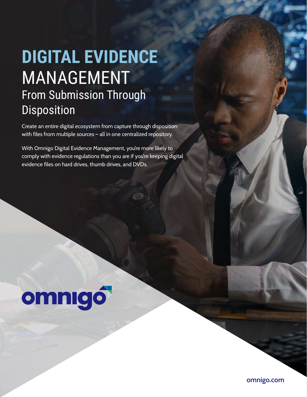# **DIGITAL EVIDENCE** MANAGEMENT From Submission Through Disposition

Create an entire digital ecosystem from capture through disposition with files from multiple sources – all in one centralized repository.

With Omnigo Digital Evidence Management, you're more likely to comply with evidence regulations than you are if you're keeping digital evidence files on hard drives, thumb drives, and DVDs.

# omnigó

**omnigo.com**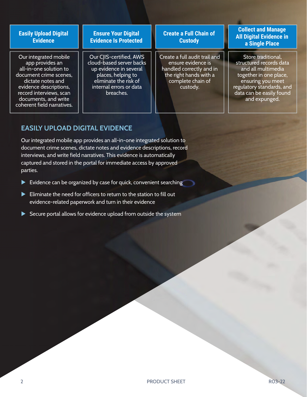### **Easily Upload Digital Evidence**

Our integrated mobile app provides an all-in-one solution to document crime scenes, dictate notes and evidence descriptions, record interviews, scan documents, and write coherent field narratives.

#### **Ensure Your Digital Evidence Is Protected**

Our CJIS-certified, AWS cloud-based server backs up evidence in several places, helping to eliminate the risk of internal errors or data breaches.

## **Create a Full Chain of Custody**

Create a full audit trail and ensure evidence is handled correctly and in the right hands with a complete chain of custody.

### **Collect and Manage All Digital Evidence in a Single Place**

Store traditional, structured records data and all multimedia together in one place, ensuring you meet regulatory standards, and data can be easily found and expunged.

# **EASILY UPLOAD DIGITAL EVIDENCE**

Our integrated mobile app provides an all-in-one integrated solution to document crime scenes, dictate notes and evidence descriptions, record interviews, and write field narratives. This evidence is automatically captured and stored in the portal for immediate access by approved parties.

- Evidence can be organized by case for quick, convenient searching
- Eliminate the need for officers to return to the station to fill out evidence-related paperwork and turn in their evidence
- Secure portal allows for evidence upload from outside the system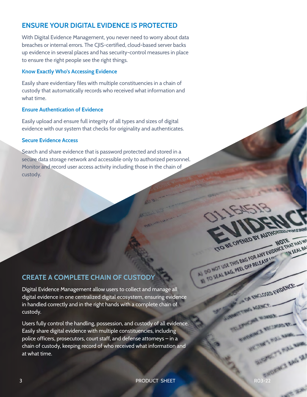# **ENSURE YOUR DIGITAL EVIDENCE IS PROTECTED**

With Digital Evidence Management, you never need to worry about data breaches or internal errors. The CJIS-certified, cloud-based server backs up evidence in several places and has security-control measures in place to ensure the right people see the right things.

#### **Know Exactly Who's Accessing Evidence**

Easily share evidentiary files with multiple constituencies in a chain of custody that automatically records who received what information and what time.

#### **Ensure Authentication of Evidence**

Easily upload and ensure full integrity of all types and sizes of digital evidence with our system that checks for originality and authenticates.

#### **Secure Evidence Access**

Search and share evidence that is password protected and stored in a secure data storage network and accessible only to authorized personnel. Monitor and record user access activity including those in the chain of custody.

# **CREATE A COMPLETE CHAIN OF CUSTODY**

Digital Evidence Management allow users to collect and manage all digital evidence in one centralized digital ecosystem, ensuring evidence in handled correctly and in the right hands with a complete chain of custody.

Users fully control the handling, possession, and custody of all evidence. Easily share digital evidence with multiple constituencies, including police officers, prosecutors, court staff, and defense attorneys – in a chain of custody, keeping record of who received what information and at what time.

**OFIN'S MG W** 

A ON ENCLOSED EVIDENCE ..

ENGINEERS & RECONSIGNERS

TO BE OPENED BY AUTHORIZED PR

TO BE OPENED BY AUTHORITAL HAS WITH A THAT HAS WE COPENED BY AUTHORITAL HAS WE

IN TO SEAL BAG, PEEL OFF RELEASE INT